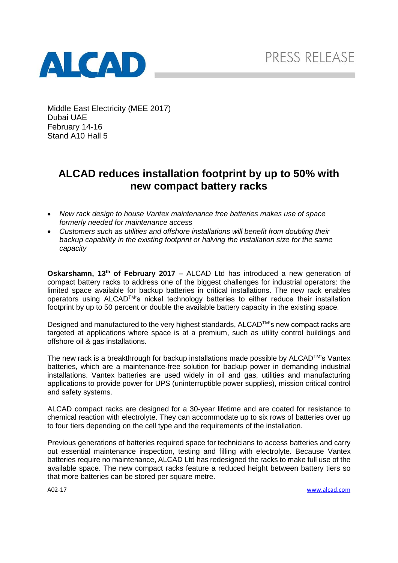

Middle East Electricity (MEE 2017) Dubai UAE February 14-16 Stand A10 Hall 5

# **ALCAD reduces installation footprint by up to 50% with new compact battery racks**

- *New rack design to house Vantex maintenance free batteries makes use of space formerly needed for maintenance access*
- *Customers such as utilities and offshore installations will benefit from doubling their backup capability in the existing footprint or halving the installation size for the same capacity*

**Oskarshamn, 13th of February 2017 –** ALCAD Ltd has introduced a new generation of compact battery racks to address one of the biggest challenges for industrial operators: the limited space available for backup batteries in critical installations. The new rack enables operators using ALCAD<sup>™</sup>'s nickel technology batteries to either reduce their installation footprint by up to 50 percent or double the available battery capacity in the existing space.

Designed and manufactured to the very highest standards,  $ALCAD^{TM}$ 's new compact racks are targeted at applications where space is at a premium, such as utility control buildings and offshore oil & gas installations.

The new rack is a breakthrough for backup installations made possible by ALCAD™'s Vantex batteries, which are a maintenance-free solution for backup power in demanding industrial installations. Vantex batteries are used widely in oil and gas, utilities and manufacturing applications to provide power for UPS (uninterruptible power supplies), mission critical control and safety systems.

ALCAD compact racks are designed for a 30-year lifetime and are coated for resistance to chemical reaction with electrolyte. They can accommodate up to six rows of batteries over up to four tiers depending on the cell type and the requirements of the installation.

Previous generations of batteries required space for technicians to access batteries and carry out essential maintenance inspection, testing and filling with electrolyte. Because Vantex batteries require no maintenance, ALCAD Ltd has redesigned the racks to make full use of the available space. The new compact racks feature a reduced height between battery tiers so that more batteries can be stored per square metre.